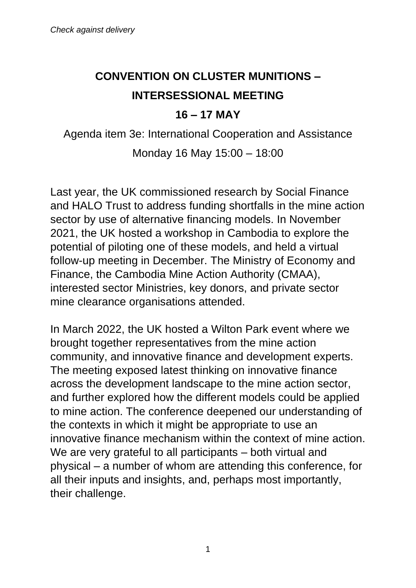## **CONVENTION ON CLUSTER MUNITIONS – INTERSESSIONAL MEETING**

## **16 – 17 MAY**

Agenda item 3e: International Cooperation and Assistance Monday 16 May 15:00 – 18:00

Last year, the UK commissioned research by Social Finance and HALO Trust to address funding shortfalls in the mine action sector by use of alternative financing models. In November 2021, the UK hosted a workshop in Cambodia to explore the potential of piloting one of these models, and held a virtual follow-up meeting in December. The Ministry of Economy and Finance, the Cambodia Mine Action Authority (CMAA), interested sector Ministries, key donors, and private sector mine clearance organisations attended.

In March 2022, the UK hosted a Wilton Park event where we brought together representatives from the mine action community, and innovative finance and development experts. The meeting exposed latest thinking on innovative finance across the development landscape to the mine action sector, and further explored how the different models could be applied to mine action. The conference deepened our understanding of the contexts in which it might be appropriate to use an innovative finance mechanism within the context of mine action. We are very grateful to all participants – both virtual and physical – a number of whom are attending this conference, for all their inputs and insights, and, perhaps most importantly, their challenge.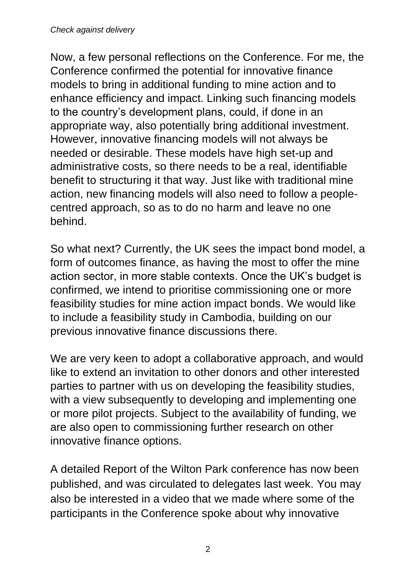Now, a few personal reflections on the Conference. For me, the Conference confirmed the potential for innovative finance models to bring in additional funding to mine action and to enhance efficiency and impact. Linking such financing models to the country's development plans, could, if done in an appropriate way, also potentially bring additional investment. However, innovative financing models will not always be needed or desirable. These models have high set-up and administrative costs, so there needs to be a real, identifiable benefit to structuring it that way. Just like with traditional mine action, new financing models will also need to follow a peoplecentred approach, so as to do no harm and leave no one behind.

So what next? Currently, the UK sees the impact bond model, a form of outcomes finance, as having the most to offer the mine action sector, in more stable contexts. Once the UK's budget is confirmed, we intend to prioritise commissioning one or more feasibility studies for mine action impact bonds. We would like to include a feasibility study in Cambodia, building on our previous innovative finance discussions there.

We are very keen to adopt a collaborative approach, and would like to extend an invitation to other donors and other interested parties to partner with us on developing the feasibility studies, with a view subsequently to developing and implementing one or more pilot projects. Subject to the availability of funding, we are also open to commissioning further research on other innovative finance options.

A detailed Report of the Wilton Park conference has now been published, and was circulated to delegates last week. You may also be interested in a video that we made where some of the participants in the Conference spoke about why innovative